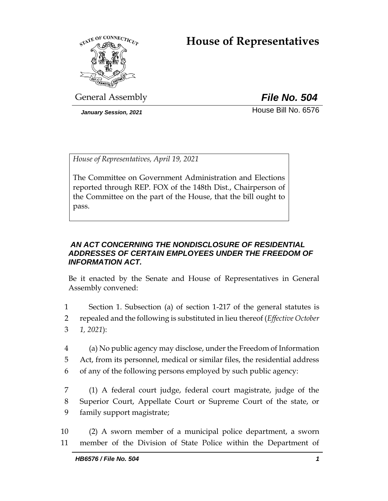# **House of Representatives**



General Assembly *File No. 504*

*January Session, 2021* **House Bill No. 6576** 

*House of Representatives, April 19, 2021*

The Committee on Government Administration and Elections reported through REP. FOX of the 148th Dist., Chairperson of the Committee on the part of the House, that the bill ought to pass.

## *AN ACT CONCERNING THE NONDISCLOSURE OF RESIDENTIAL ADDRESSES OF CERTAIN EMPLOYEES UNDER THE FREEDOM OF INFORMATION ACT.*

Be it enacted by the Senate and House of Representatives in General Assembly convened:

1 Section 1. Subsection (a) of section 1-217 of the general statutes is 2 repealed and the following is substituted in lieu thereof (*Effective October*  3 *1, 2021*):

4 (a) No public agency may disclose, under the Freedom of Information 5 Act, from its personnel, medical or similar files, the residential address 6 of any of the following persons employed by such public agency:

7 (1) A federal court judge, federal court magistrate, judge of the 8 Superior Court, Appellate Court or Supreme Court of the state, or 9 family support magistrate;

10 (2) A sworn member of a municipal police department, a sworn 11 member of the Division of State Police within the Department of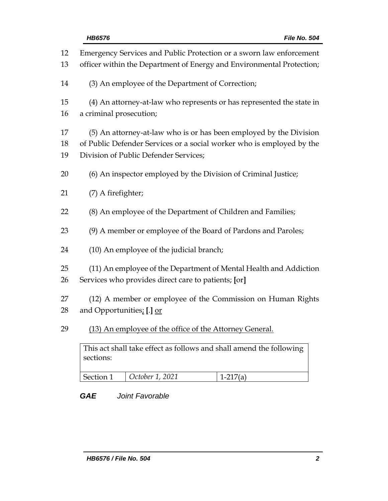| 12<br>13       | Emergency Services and Public Protection or a sworn law enforcement<br>officer within the Department of Energy and Environmental Protection;                                         |                 |            |
|----------------|--------------------------------------------------------------------------------------------------------------------------------------------------------------------------------------|-----------------|------------|
| 14             | (3) An employee of the Department of Correction;                                                                                                                                     |                 |            |
| 15<br>16       | (4) An attorney-at-law who represents or has represented the state in<br>a criminal prosecution;                                                                                     |                 |            |
| 17<br>18<br>19 | (5) An attorney-at-law who is or has been employed by the Division<br>of Public Defender Services or a social worker who is employed by the<br>Division of Public Defender Services; |                 |            |
| 20             | (6) An inspector employed by the Division of Criminal Justice;                                                                                                                       |                 |            |
| 21             | (7) A firefighter;                                                                                                                                                                   |                 |            |
| 22             | (8) An employee of the Department of Children and Families;                                                                                                                          |                 |            |
| 23             | (9) A member or employee of the Board of Pardons and Paroles;                                                                                                                        |                 |            |
| 24             | (10) An employee of the judicial branch;                                                                                                                                             |                 |            |
| 25<br>26       | (11) An employee of the Department of Mental Health and Addiction<br>Services who provides direct care to patients; [or]                                                             |                 |            |
| 27<br>28       | (12) A member or employee of the Commission on Human Rights<br>and Opportunities. [.] or                                                                                             |                 |            |
| 29             | (13) An employee of the office of the Attorney General.<br>This act shall take effect as follows and shall amend the following<br>sections:                                          |                 |            |
|                |                                                                                                                                                                                      |                 |            |
|                | Section 1                                                                                                                                                                            | October 1, 2021 | $1-217(a)$ |

# *GAE Joint Favorable*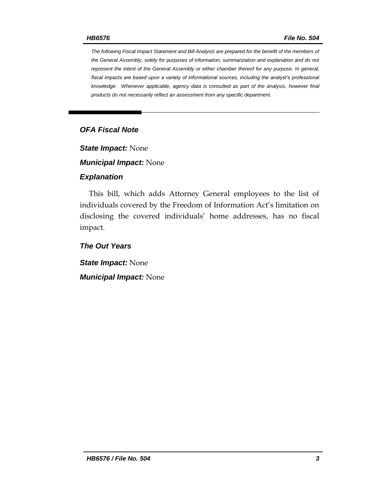*The following Fiscal Impact Statement and Bill Analysis are prepared for the benefit of the members of the General Assembly, solely for purposes of information, summarization and explanation and do not represent the intent of the General Assembly or either chamber thereof for any purpose. In general, fiscal impacts are based upon a variety of informational sources, including the analyst's professional knowledge. Whenever applicable, agency data is consulted as part of the analysis, however final products do not necessarily reflect an assessment from any specific department.*

## *OFA Fiscal Note*

*State Impact:* None

*Municipal Impact:* None

#### *Explanation*

This bill, which adds Attorney General employees to the list of individuals covered by the Freedom of Information Act's limitation on disclosing the covered individuals' home addresses, has no fiscal impact.

*The Out Years*

*State Impact:* None *Municipal Impact:* None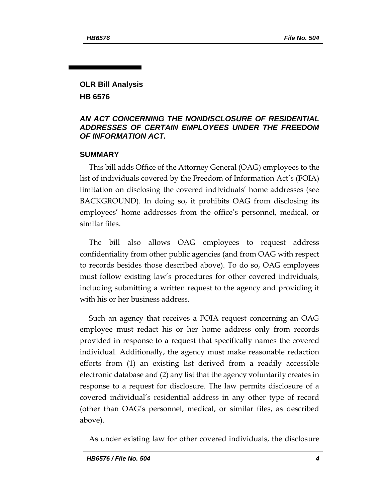# **OLR Bill Analysis HB 6576**

#### *AN ACT CONCERNING THE NONDISCLOSURE OF RESIDENTIAL ADDRESSES OF CERTAIN EMPLOYEES UNDER THE FREEDOM OF INFORMATION ACT.*

#### **SUMMARY**

This bill adds Office of the Attorney General (OAG) employees to the list of individuals covered by the Freedom of Information Act's (FOIA) limitation on disclosing the covered individuals' home addresses (see BACKGROUND). In doing so, it prohibits OAG from disclosing its employees' home addresses from the office's personnel, medical, or similar files.

The bill also allows OAG employees to request address confidentiality from other public agencies (and from OAG with respect to records besides those described above). To do so, OAG employees must follow existing law's procedures for other covered individuals, including submitting a written request to the agency and providing it with his or her business address.

Such an agency that receives a FOIA request concerning an OAG employee must redact his or her home address only from records provided in response to a request that specifically names the covered individual. Additionally, the agency must make reasonable redaction efforts from (1) an existing list derived from a readily accessible electronic database and (2) any list that the agency voluntarily creates in response to a request for disclosure. The law permits disclosure of a covered individual's residential address in any other type of record (other than OAG's personnel, medical, or similar files, as described above).

As under existing law for other covered individuals, the disclosure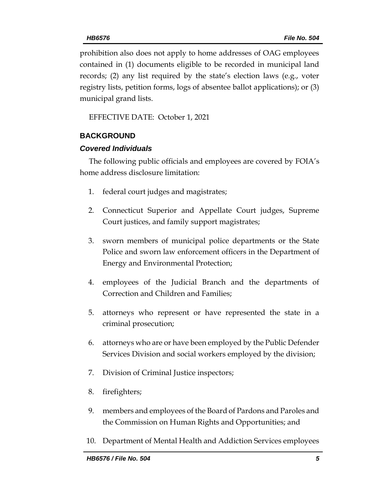prohibition also does not apply to home addresses of OAG employees contained in (1) documents eligible to be recorded in municipal land records; (2) any list required by the state's election laws (e.g., voter registry lists, petition forms, logs of absentee ballot applications); or (3) municipal grand lists.

EFFECTIVE DATE: October 1, 2021

## **BACKGROUND**

#### *Covered Individuals*

The following public officials and employees are covered by FOIA's home address disclosure limitation:

- 1. federal court judges and magistrates;
- 2. Connecticut Superior and Appellate Court judges, Supreme Court justices, and family support magistrates;
- 3. sworn members of municipal police departments or the State Police and sworn law enforcement officers in the Department of Energy and Environmental Protection;
- 4. employees of the Judicial Branch and the departments of Correction and Children and Families;
- 5. attorneys who represent or have represented the state in a criminal prosecution;
- 6. attorneys who are or have been employed by the Public Defender Services Division and social workers employed by the division;
- 7. Division of Criminal Justice inspectors;
- 8. firefighters;
- 9. members and employees of the Board of Pardons and Paroles and the Commission on Human Rights and Opportunities; and
- 10. Department of Mental Health and Addiction Services employees